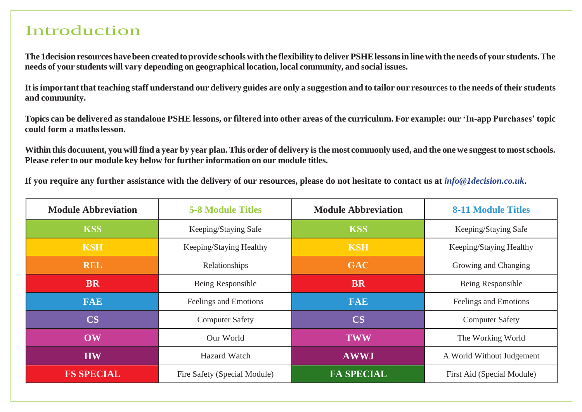## Introduction

**The 1decisionresourceshavebeen createdtoprovide schoolswiththe flexibility todeliverPSHElessonsinlinewiththeneeds of your students.The needs of your students will vary depending on geographical location, local community, and social issues.**

It is important that teaching staff understand our delivery guides are only a suggestion and to tailor our resources to the needs of their students **and community.**

Topics can be delivered as standalone PSHE lessons, or filtered into other areas of the curriculum. For example: our 'In-app Purchases' topic **could form a mathslesson.**

Within this document, you will find a year by year plan. This order of delivery is the most commonly used, and the one we suggest to most schools. **Please refer to our module key below for further information on our module titles.**

If you require any further assistance with the delivery of our resources, please do not hesitate to contact us at  $info@1decision.co.uk$ .

| <b>Module Abbreviation</b> | <b>5-8 Module Titles</b>     | <b>Module Abbreviation</b>                      | <b>8-11 Module Titles</b> |  |
|----------------------------|------------------------------|-------------------------------------------------|---------------------------|--|
| <b>KSS</b>                 | Keeping/Staying Safe         | <b>KSS</b>                                      | Keeping/Staying Safe      |  |
| <b>KSH</b>                 | Keeping/Staying Healthy      | <b>KSH</b>                                      | Keeping/Staying Healthy   |  |
| <b>REL</b>                 | Relationships                | <b>GAC</b>                                      | Growing and Changing      |  |
| <b>BR</b>                  | Being Responsible            | <b>BR</b>                                       | Being Responsible         |  |
| <b>FAE</b>                 | Feelings and Emotions        | <b>FAE</b>                                      | Feelings and Emotions     |  |
| <b>CS</b>                  | <b>Computer Safety</b>       | <b>CS</b>                                       | <b>Computer Safety</b>    |  |
| OW                         | Our World                    | <b>TWW</b>                                      | The Working World         |  |
| <b>HW</b>                  | <b>Hazard Watch</b>          | <b>AWWJ</b><br>A World Without Judgement        |                           |  |
| <b>FS SPECIAL</b>          | Fire Safety (Special Module) | <b>FA SPECIAL</b><br>First Aid (Special Module) |                           |  |